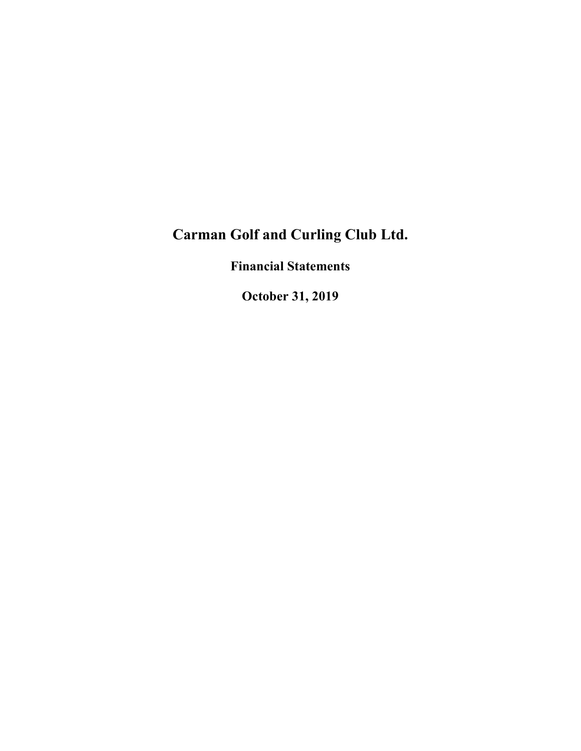**Financial Statements**

**October 31, 2019**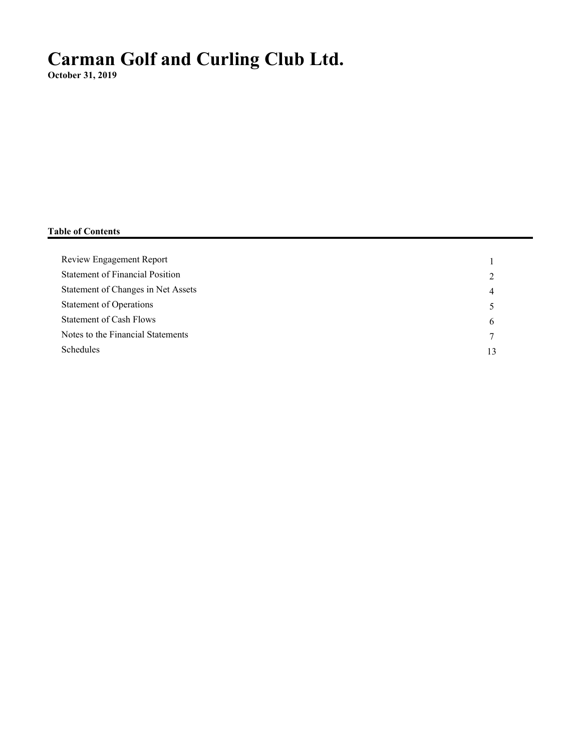**October 31, 2019**

## **Table of Contents**

| Review Engagement Report               |    |
|----------------------------------------|----|
| <b>Statement of Financial Position</b> | ∍  |
| Statement of Changes in Net Assets     | 4  |
| <b>Statement of Operations</b>         |    |
| Statement of Cash Flows                | 6  |
| Notes to the Financial Statements      | 7  |
| <b>Schedules</b>                       | 13 |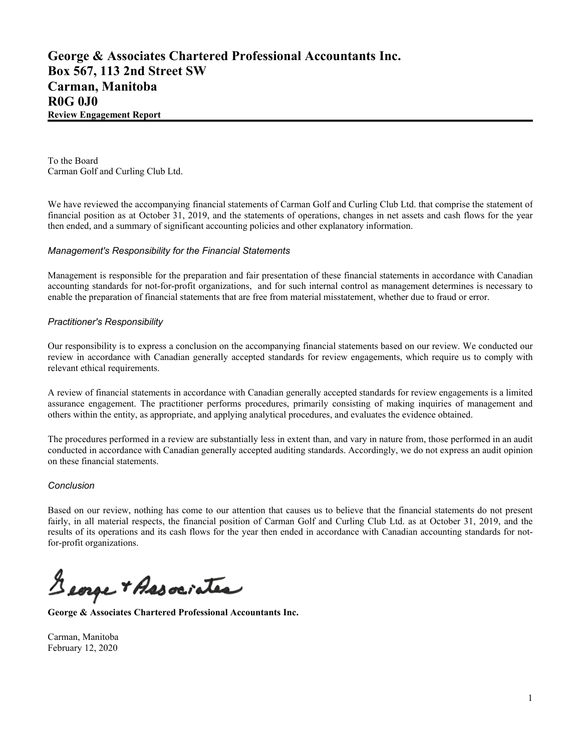To the Board Carman Golf and Curling Club Ltd.

We have reviewed the accompanying financial statements of Carman Golf and Curling Club Ltd. that comprise the statement of financial position as at October 31, 2019, and the statements of operations, changes in net assets and cash flows for the year then ended, and a summary of significant accounting policies and other explanatory information.

### *Management's Responsibility for the Financial Statements*

Management is responsible for the preparation and fair presentation of these financial statements in accordance with Canadian accounting standards for not-for-profit organizations, and for such internal control as management determines is necessary to enable the preparation of financial statements that are free from material misstatement, whether due to fraud or error.

#### *Practitioner's Responsibility*

Our responsibility is to express a conclusion on the accompanying financial statements based on our review. We conducted our review in accordance with Canadian generally accepted standards for review engagements, which require us to comply with relevant ethical requirements.

A review of financial statements in accordance with Canadian generally accepted standards for review engagements is a limited assurance engagement. The practitioner performs procedures, primarily consisting of making inquiries of management and others within the entity, as appropriate, and applying analytical procedures, and evaluates the evidence obtained.

The procedures performed in a review are substantially less in extent than, and vary in nature from, those performed in an audit conducted in accordance with Canadian generally accepted auditing standards. Accordingly, we do not express an audit opinion on these financial statements.

#### *Conclusion*

Based on our review, nothing has come to our attention that causes us to believe that the financial statements do not present fairly, in all material respects, the financial position of Carman Golf and Curling Club Ltd. as at October 31, 2019, and the results of its operations and its cash flows for the year then ended in accordance with Canadian accounting standards for notfor-profit organizations.

George + Associates

**George & Associates Chartered Professional Accountants Inc.**

Carman, Manitoba February 12, 2020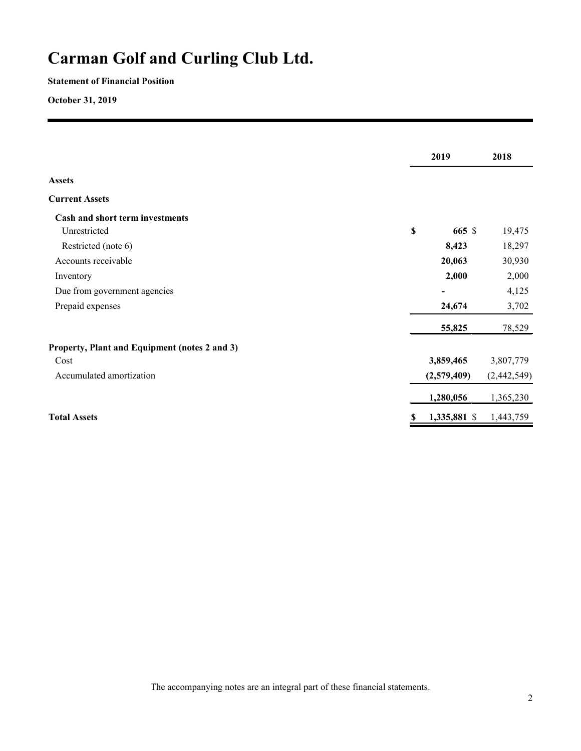### **Statement of Financial Position**

**October 31, 2019**

|                                               |    | 2019         | 2018        |
|-----------------------------------------------|----|--------------|-------------|
| <b>Assets</b>                                 |    |              |             |
| <b>Current Assets</b>                         |    |              |             |
| Cash and short term investments               |    |              |             |
| Unrestricted                                  | \$ | 665 \$       | 19,475      |
| Restricted (note 6)                           |    | 8,423        | 18,297      |
| Accounts receivable                           |    | 20,063       | 30,930      |
| Inventory                                     |    | 2,000        | 2,000       |
| Due from government agencies                  |    |              | 4,125       |
| Prepaid expenses                              |    | 24,674       | 3,702       |
|                                               |    | 55,825       | 78,529      |
| Property, Plant and Equipment (notes 2 and 3) |    |              |             |
| Cost                                          |    | 3,859,465    | 3,807,779   |
| Accumulated amortization                      |    | (2,579,409)  | (2,442,549) |
|                                               |    | 1,280,056    | 1,365,230   |
| <b>Total Assets</b>                           | S  | 1,335,881 \$ | 1,443,759   |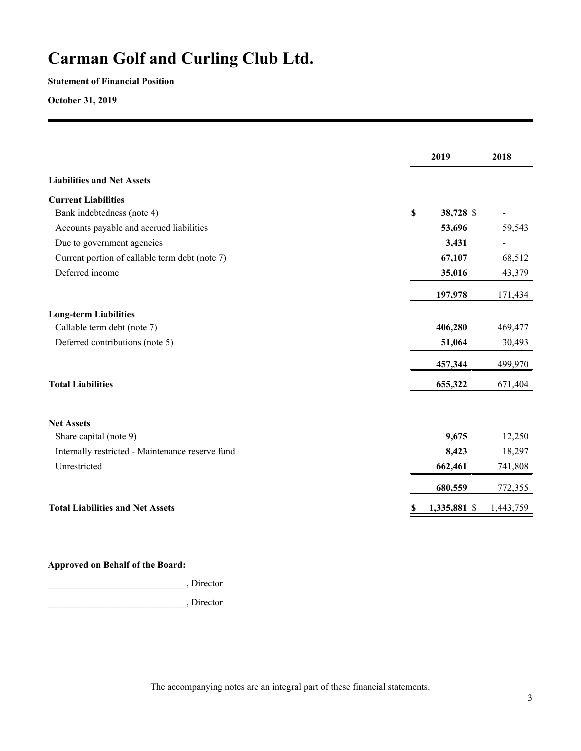### **Statement of Financial Position**

**October 31, 2019**

|                                                  | 2019            | 2018      |
|--------------------------------------------------|-----------------|-----------|
| <b>Liabilities and Net Assets</b>                |                 |           |
| <b>Current Liabilities</b>                       |                 |           |
| Bank indebtedness (note 4)                       | \$<br>38,728 \$ |           |
| Accounts payable and accrued liabilities         | 53,696          | 59,543    |
| Due to government agencies                       | 3,431           |           |
| Current portion of callable term debt (note 7)   | 67,107          | 68,512    |
| Deferred income                                  | 35,016          | 43,379    |
|                                                  | 197,978         | 171,434   |
| <b>Long-term Liabilities</b>                     |                 |           |
| Callable term debt (note 7)                      | 406,280         | 469,477   |
| Deferred contributions (note 5)                  | 51,064          | 30,493    |
|                                                  | 457,344         | 499,970   |
| <b>Total Liabilities</b>                         | 655,322         | 671,404   |
| <b>Net Assets</b>                                |                 |           |
| Share capital (note 9)                           | 9,675           | 12,250    |
| Internally restricted - Maintenance reserve fund | 8,423           | 18,297    |
| Unrestricted                                     | 662,461         | 741,808   |
|                                                  | 680,559         | 772,355   |
| <b>Total Liabilities and Net Assets</b>          | 1,335,881 \$    | 1,443,759 |

### **Approved on Behalf of the Board:**

\_\_\_\_\_\_\_\_\_\_\_\_\_\_\_\_\_\_\_\_\_\_\_\_\_\_\_\_\_, Director

\_\_\_\_\_\_\_\_\_\_\_\_\_\_\_\_\_\_\_\_\_\_\_\_\_\_\_\_\_, Director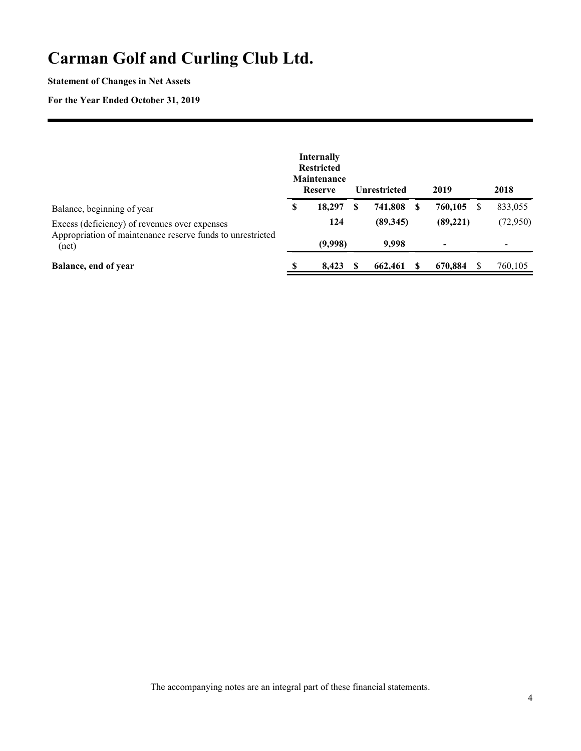### **Statement of Changes in Net Assets**

### **For the Year Ended October 31, 2019**

|                                                                                                             |   | <b>Internally</b><br><b>Restricted</b><br><b>Maintenance</b><br><b>Reserve</b> |   | <b>Unrestricted</b> | 2019      | 2018     |
|-------------------------------------------------------------------------------------------------------------|---|--------------------------------------------------------------------------------|---|---------------------|-----------|----------|
| Balance, beginning of year                                                                                  | S | 18,297                                                                         | S | 741.808             | 760,105   | 833,055  |
| Excess (deficiency) of revenues over expenses<br>Appropriation of maintenance reserve funds to unrestricted |   | 124                                                                            |   | (89,345)            | (89, 221) | (72,950) |
| (net)                                                                                                       |   | (9,998)                                                                        |   | 9.998               |           |          |
| Balance, end of year                                                                                        |   | 8,423                                                                          |   | 662,461             | 670,884   | 760,105  |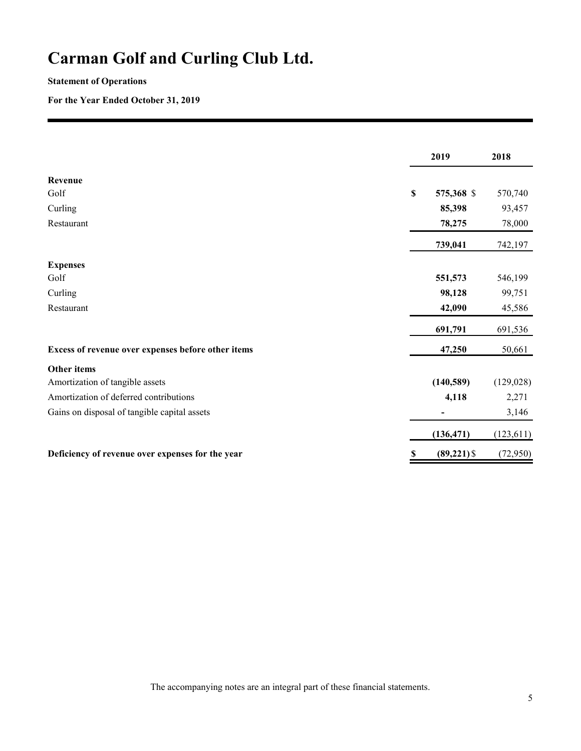## **Statement of Operations**

**For the Year Ended October 31, 2019**

|                                                    |             | 2019           | 2018       |
|----------------------------------------------------|-------------|----------------|------------|
| Revenue                                            |             |                |            |
| Golf                                               | $\mathbb S$ | 575,368 \$     | 570,740    |
| Curling                                            |             | 85,398         | 93,457     |
| Restaurant                                         |             | 78,275         | 78,000     |
|                                                    |             | 739,041        | 742,197    |
| <b>Expenses</b>                                    |             |                |            |
| Golf                                               |             | 551,573        | 546,199    |
| Curling                                            |             | 98,128         | 99,751     |
| Restaurant                                         |             | 42,090         | 45,586     |
|                                                    |             | 691,791        | 691,536    |
| Excess of revenue over expenses before other items |             | 47,250         | 50,661     |
| Other items                                        |             |                |            |
| Amortization of tangible assets                    |             | (140, 589)     | (129, 028) |
| Amortization of deferred contributions             |             | 4,118          | 2,271      |
| Gains on disposal of tangible capital assets       |             |                | 3,146      |
|                                                    |             | (136, 471)     | (123, 611) |
| Deficiency of revenue over expenses for the year   |             | $(89, 221)$ \$ | (72, 950)  |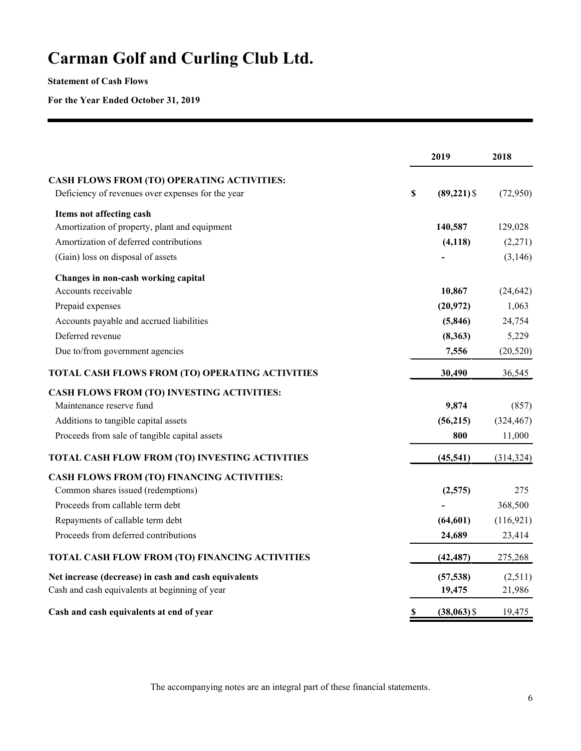**Statement of Cash Flows**

**For the Year Ended October 31, 2019**

|                                                      | 2019                 | 2018       |
|------------------------------------------------------|----------------------|------------|
| CASH FLOWS FROM (TO) OPERATING ACTIVITIES:           |                      |            |
| Deficiency of revenues over expenses for the year    | \$<br>$(89, 221)$ \$ | (72,950)   |
| Items not affecting cash                             |                      |            |
| Amortization of property, plant and equipment        | 140,587              | 129,028    |
| Amortization of deferred contributions               | (4, 118)             | (2,271)    |
| (Gain) loss on disposal of assets                    |                      | (3,146)    |
| Changes in non-cash working capital                  |                      |            |
| Accounts receivable                                  | 10,867               | (24, 642)  |
| Prepaid expenses                                     | (20, 972)            | 1,063      |
| Accounts payable and accrued liabilities             | (5, 846)             | 24,754     |
| Deferred revenue                                     | (8,363)              | 5,229      |
| Due to/from government agencies                      | 7,556                | (20, 520)  |
| TOTAL CASH FLOWS FROM (TO) OPERATING ACTIVITIES      | 30,490               | 36,545     |
| <b>CASH FLOWS FROM (TO) INVESTING ACTIVITIES:</b>    |                      |            |
| Maintenance reserve fund                             | 9,874                | (857)      |
| Additions to tangible capital assets                 | (56, 215)            | (324, 467) |
| Proceeds from sale of tangible capital assets        | 800                  | 11,000     |
| TOTAL CASH FLOW FROM (TO) INVESTING ACTIVITIES       | (45, 541)            | (314, 324) |
| <b>CASH FLOWS FROM (TO) FINANCING ACTIVITIES:</b>    |                      |            |
| Common shares issued (redemptions)                   | (2,575)              | 275        |
| Proceeds from callable term debt                     |                      | 368,500    |
| Repayments of callable term debt                     | (64, 601)            | (116, 921) |
| Proceeds from deferred contributions                 | 24,689               | 23,414     |
| TOTAL CASH FLOW FROM (TO) FINANCING ACTIVITIES       | (42, 487)            | 275,268    |
| Net increase (decrease) in cash and cash equivalents | (57, 538)            | (2,511)    |
| Cash and cash equivalents at beginning of year       | 19,475               | 21,986     |
| Cash and cash equivalents at end of year             | \$<br>$(38,063)$ \$  | 19,475     |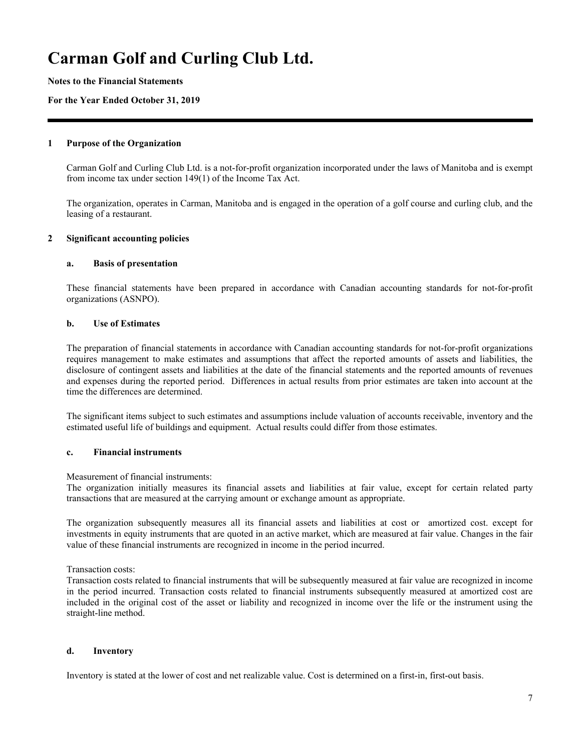**Notes to the Financial Statements**

#### **For the Year Ended October 31, 2019**

#### **1 Purpose of the Organization**

Carman Golf and Curling Club Ltd. is a not-for-profit organization incorporated under the laws of Manitoba and is exempt from income tax under section 149(1) of the Income Tax Act.

The organization, operates in Carman, Manitoba and is engaged in the operation of a golf course and curling club, and the leasing of a restaurant.

#### **2 Significant accounting policies**

#### **a. Basis of presentation**

These financial statements have been prepared in accordance with Canadian accounting standards for not-for-profit organizations (ASNPO).

#### **b. Use of Estimates**

The preparation of financial statements in accordance with Canadian accounting standards for not-for-profit organizations requires management to make estimates and assumptions that affect the reported amounts of assets and liabilities, the disclosure of contingent assets and liabilities at the date of the financial statements and the reported amounts of revenues and expenses during the reported period. Differences in actual results from prior estimates are taken into account at the time the differences are determined.

The significant items subject to such estimates and assumptions include valuation of accounts receivable, inventory and the estimated useful life of buildings and equipment. Actual results could differ from those estimates.

### **c. Financial instruments**

Measurement of financial instruments:

The organization initially measures its financial assets and liabilities at fair value, except for certain related party transactions that are measured at the carrying amount or exchange amount as appropriate.

The organization subsequently measures all its financial assets and liabilities at cost or amortized cost. except for investments in equity instruments that are quoted in an active market, which are measured at fair value. Changes in the fair value of these financial instruments are recognized in income in the period incurred.

Transaction costs:

Transaction costs related to financial instruments that will be subsequently measured at fair value are recognized in income in the period incurred. Transaction costs related to financial instruments subsequently measured at amortized cost are included in the original cost of the asset or liability and recognized in income over the life or the instrument using the straight-line method.

#### **d. Inventory**

Inventory is stated at the lower of cost and net realizable value. Cost is determined on a first-in, first-out basis.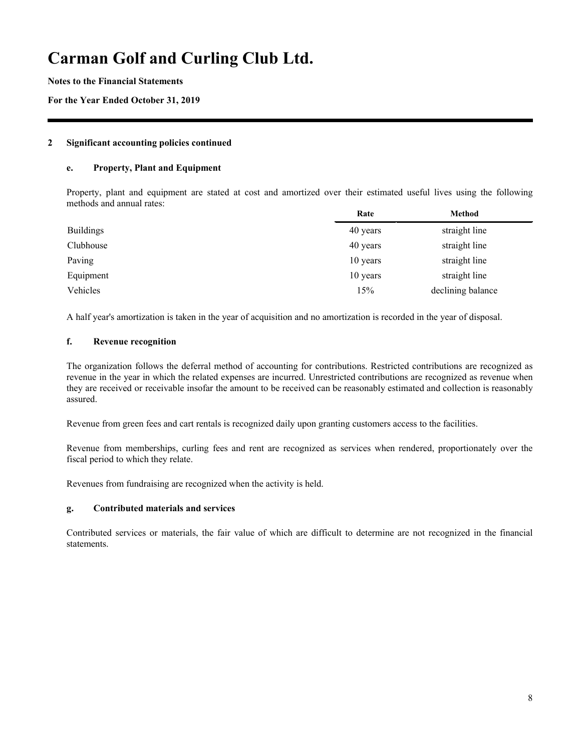**Notes to the Financial Statements**

**For the Year Ended October 31, 2019**

#### **2 Significant accounting policies continued**

#### **e. Property, Plant and Equipment**

Property, plant and equipment are stated at cost and amortized over their estimated useful lives using the following methods and annual rates:

|                  | Rate     | <b>Method</b>     |
|------------------|----------|-------------------|
| <b>Buildings</b> | 40 years | straight line     |
| Clubhouse        | 40 years | straight line     |
| Paving           | 10 years | straight line     |
| Equipment        | 10 years | straight line     |
| Vehicles         | 15%      | declining balance |

A half year's amortization is taken in the year of acquisition and no amortization is recorded in the year of disposal.

### **f. Revenue recognition**

The organization follows the deferral method of accounting for contributions. Restricted contributions are recognized as revenue in the year in which the related expenses are incurred. Unrestricted contributions are recognized as revenue when they are received or receivable insofar the amount to be received can be reasonably estimated and collection is reasonably assured.

Revenue from green fees and cart rentals is recognized daily upon granting customers access to the facilities.

Revenue from memberships, curling fees and rent are recognized as services when rendered, proportionately over the fiscal period to which they relate.

Revenues from fundraising are recognized when the activity is held.

### **g. Contributed materials and services**

Contributed services or materials, the fair value of which are difficult to determine are not recognized in the financial statements.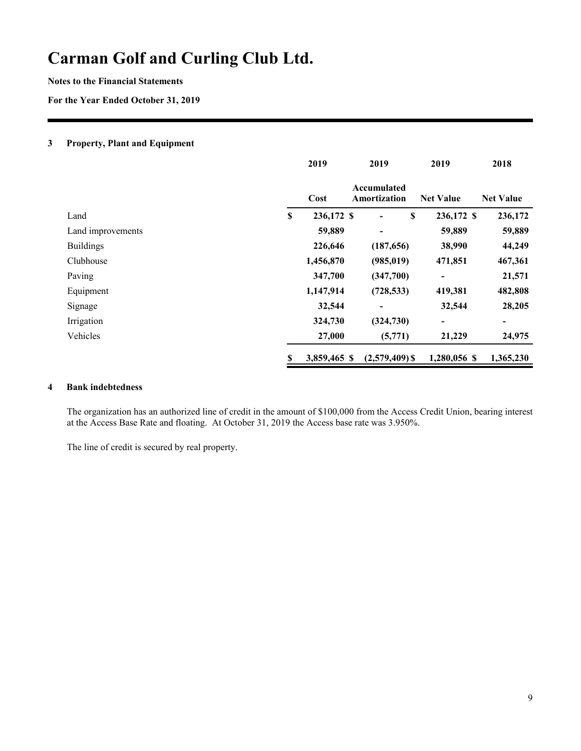**Notes to the Financial Statements**

**For the Year Ended October 31, 2019**

#### **3 Property, Plant and Equipment**

|                   | 2019             | 2019                        |   | 2019                         | 2018             |
|-------------------|------------------|-----------------------------|---|------------------------------|------------------|
|                   | Cost             | Accumulated<br>Amortization |   | <b>Net Value</b>             | <b>Net Value</b> |
| Land              | \$<br>236,172 \$ | ۰                           | S | 236,172 \$                   | 236,172          |
| Land improvements | 59,889           | -                           |   | 59,889                       | 59,889           |
| <b>Buildings</b>  | 226,646          | (187, 656)                  |   | 38,990                       | 44,249           |
| Clubhouse         | 1,456,870        | (985, 019)                  |   | 471,851                      | 467,361          |
| Paving            | 347,700          | (347,700)                   |   | $\blacksquare$               | 21,571           |
| Equipment         | 1,147,914        | (728, 533)                  |   | 419,381                      | 482,808          |
| Signage           | 32,544           |                             |   | 32,544                       | 28,205           |
| Irrigation        | 324,730          | (324, 730)                  |   | $\qquad \qquad \blacksquare$ | -                |
| Vehicles          | 27,000           | (5,771)                     |   | 21,229                       | 24,975           |
|                   | 3,859,465 \$     | $(2,579,409)$ \$            |   | 1,280,056 \$                 | 1,365,230        |

### **4 Bank indebtedness**

The organization has an authorized line of credit in the amount of \$100,000 from the Access Credit Union, bearing interest at the Access Base Rate and floating. At October 31, 2019 the Access base rate was 3.950%.

The line of credit is secured by real property.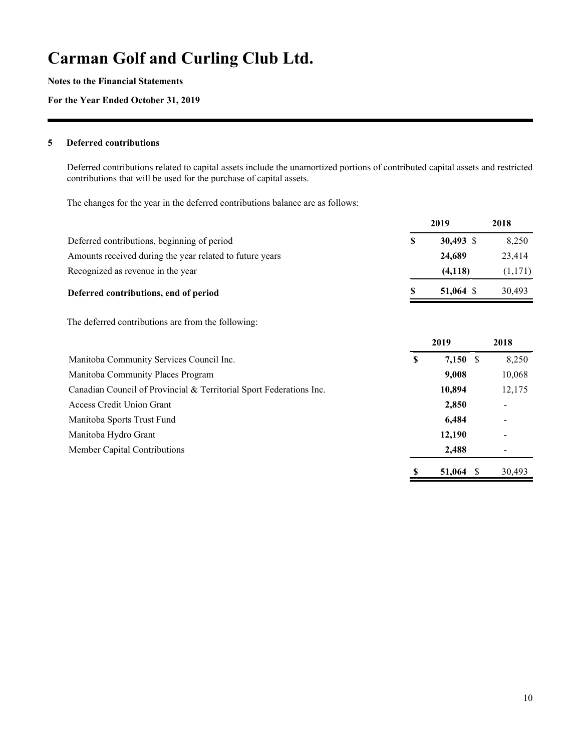**Notes to the Financial Statements**

**For the Year Ended October 31, 2019**

#### **5 Deferred contributions**

Deferred contributions related to capital assets include the unamortized portions of contributed capital assets and restricted contributions that will be used for the purchase of capital assets.

The changes for the year in the deferred contributions balance are as follows:

|                                                                     |   | 2019                  | 2018    |
|---------------------------------------------------------------------|---|-----------------------|---------|
| Deferred contributions, beginning of period                         | S | 30,493 \$             | 8,250   |
| Amounts received during the year related to future years            |   | 24,689                | 23,414  |
| Recognized as revenue in the year                                   |   | (4, 118)              | (1,171) |
| Deferred contributions, end of period                               |   | 51,064 \$             | 30,493  |
| The deferred contributions are from the following:                  |   |                       |         |
|                                                                     |   | 2019                  | 2018    |
| Manitoba Community Services Council Inc.                            | S | 7,150<br>$\mathbb{S}$ | 8,250   |
| Manitoba Community Places Program                                   |   | 9,008                 | 10,068  |
| Canadian Council of Provincial & Territorial Sport Federations Inc. |   | 10,894                | 12,175  |
| <b>Access Credit Union Grant</b>                                    |   | 2,850                 |         |
| Manitoba Sports Trust Fund                                          |   | 6,484                 |         |
| Manitoba Hydro Grant                                                |   | 12,190                |         |
| Member Capital Contributions                                        |   | 2,488                 |         |
|                                                                     | S | 51,064<br>S           | 30,493  |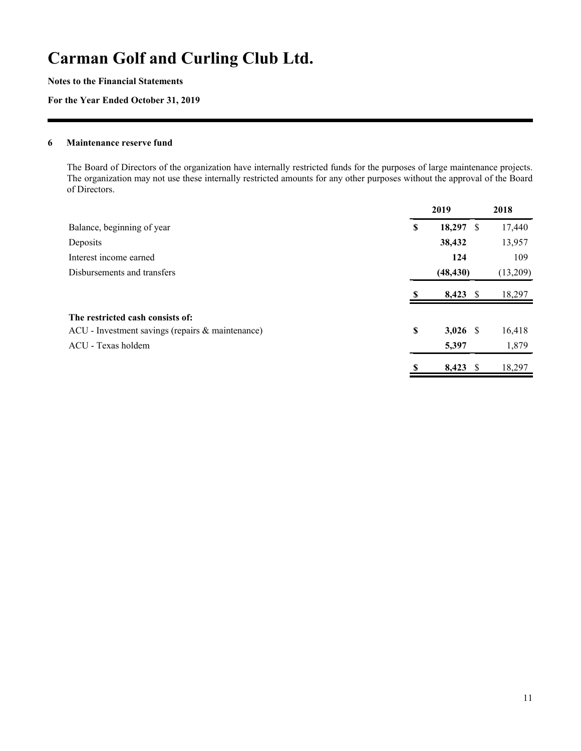**Notes to the Financial Statements**

**For the Year Ended October 31, 2019**

#### **6 Maintenance reserve fund**

The Board of Directors of the organization have internally restricted funds for the purposes of large maintenance projects. The organization may not use these internally restricted amounts for any other purposes without the approval of the Board of Directors.

|                                                  |    | 2019         | 2018     |
|--------------------------------------------------|----|--------------|----------|
| Balance, beginning of year                       | \$ | 18,297<br>-S | 17,440   |
| Deposits                                         |    | 38,432       | 13,957   |
| Interest income earned                           |    | 124          | 109      |
| Disbursements and transfers                      |    | (48, 430)    | (13,209) |
|                                                  |    | $8,423$ \$   | 18,297   |
| The restricted cash consists of:                 |    |              |          |
| ACU - Investment savings (repairs & maintenance) | \$ | $3,026$ \$   | 16,418   |
| ACU - Texas holdem                               |    | 5,397        | 1,879    |
|                                                  | S  | $8,423$ \$   | 18,297   |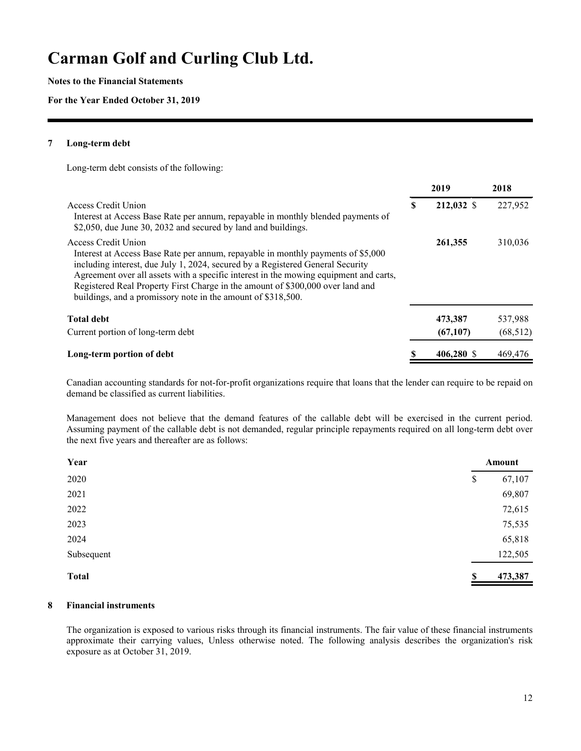**Notes to the Financial Statements**

#### **For the Year Ended October 31, 2019**

#### **7 Long-term debt**

Long-term debt consists of the following:

|                                                                                                                                                                                                                                                                                                                                                                                                                                      |   | 2019       | 2018      |
|--------------------------------------------------------------------------------------------------------------------------------------------------------------------------------------------------------------------------------------------------------------------------------------------------------------------------------------------------------------------------------------------------------------------------------------|---|------------|-----------|
| Access Credit Union<br>Interest at Access Base Rate per annum, repayable in monthly blended payments of<br>\$2,050, due June 30, 2032 and secured by land and buildings.                                                                                                                                                                                                                                                             | S | 212,032 \$ | 227,952   |
| Access Credit Union<br>Interest at Access Base Rate per annum, repayable in monthly payments of \$5,000<br>including interest, due July 1, 2024, secured by a Registered General Security<br>Agreement over all assets with a specific interest in the mowing equipment and carts,<br>Registered Real Property First Charge in the amount of \$300,000 over land and<br>buildings, and a promissory note in the amount of \$318,500. |   | 261,355    | 310,036   |
| <b>Total debt</b>                                                                                                                                                                                                                                                                                                                                                                                                                    |   | 473,387    | 537,988   |
| Current portion of long-term debt                                                                                                                                                                                                                                                                                                                                                                                                    |   | (67, 107)  | (68, 512) |
| Long-term portion of debt                                                                                                                                                                                                                                                                                                                                                                                                            |   | 406,280 \$ | 469,476   |

Canadian accounting standards for not-for-profit organizations require that loans that the lender can require to be repaid on demand be classified as current liabilities.

Management does not believe that the demand features of the callable debt will be exercised in the current period. Assuming payment of the callable debt is not demanded, regular principle repayments required on all long-term debt over the next five years and thereafter are as follows:

| Year         |    | Amount  |  |
|--------------|----|---------|--|
| 2020         | \$ | 67,107  |  |
| 2021         |    | 69,807  |  |
| 2022         |    | 72,615  |  |
| 2023         |    | 75,535  |  |
| 2024         |    | 65,818  |  |
| Subsequent   |    | 122,505 |  |
| <b>Total</b> | S  | 473,387 |  |

### **8 Financial instruments**

The organization is exposed to various risks through its financial instruments. The fair value of these financial instruments approximate their carrying values, Unless otherwise noted. The following analysis describes the organization's risk exposure as at October 31, 2019.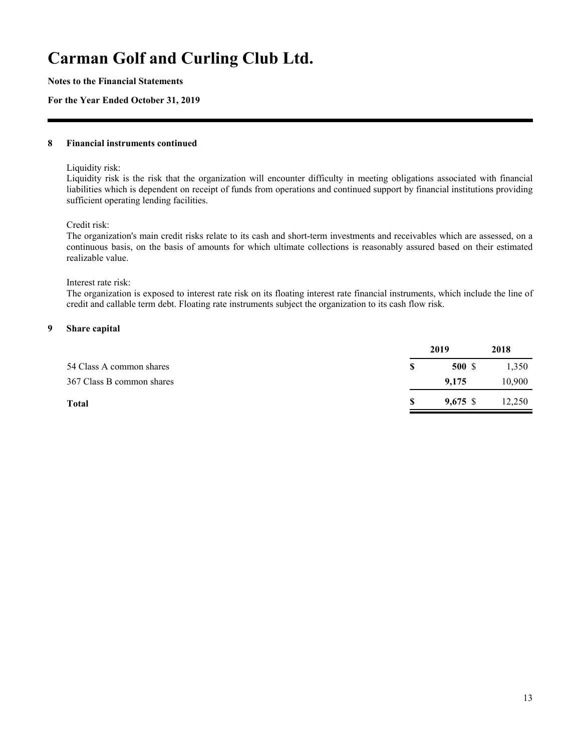**Notes to the Financial Statements**

#### **For the Year Ended October 31, 2019**

#### **8 Financial instruments continued**

Liquidity risk:

Liquidity risk is the risk that the organization will encounter difficulty in meeting obligations associated with financial liabilities which is dependent on receipt of funds from operations and continued support by financial institutions providing sufficient operating lending facilities.

Credit risk:

The organization's main credit risks relate to its cash and short-term investments and receivables which are assessed, on a continuous basis, on the basis of amounts for which ultimate collections is reasonably assured based on their estimated realizable value.

#### Interest rate risk:

The organization is exposed to interest rate risk on its floating interest rate financial instruments, which include the line of credit and callable term debt. Floating rate instruments subject the organization to its cash flow risk.

### **9 Share capital**

|                           | 2019       | 2018   |
|---------------------------|------------|--------|
| 54 Class A common shares  | 500 \$     | 1,350  |
| 367 Class B common shares | 9.175      | 10,900 |
| <b>Total</b>              | $9,675$ \$ | 12,250 |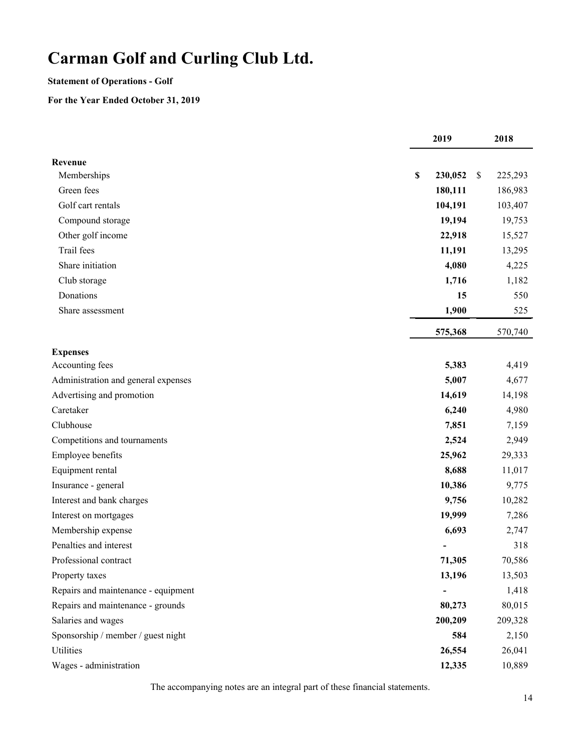### **Statement of Operations - Golf**

### **For the Year Ended October 31, 2019**

|                                     |             | 2019    | 2018          |
|-------------------------------------|-------------|---------|---------------|
| Revenue                             |             |         |               |
| Memberships                         | $\mathbb S$ | 230,052 | \$<br>225,293 |
| Green fees                          |             | 180,111 | 186,983       |
| Golf cart rentals                   |             | 104,191 | 103,407       |
| Compound storage                    |             | 19,194  | 19,753        |
| Other golf income                   |             | 22,918  | 15,527        |
| Trail fees                          |             | 11,191  | 13,295        |
| Share initiation                    |             | 4,080   | 4,225         |
| Club storage                        |             | 1,716   | 1,182         |
| Donations                           |             | 15      | 550           |
| Share assessment                    |             | 1,900   | 525           |
|                                     |             | 575,368 | 570,740       |
| <b>Expenses</b>                     |             |         |               |
| Accounting fees                     |             | 5,383   | 4,419         |
| Administration and general expenses |             | 5,007   | 4,677         |
| Advertising and promotion           |             | 14,619  | 14,198        |
| Caretaker                           |             | 6,240   | 4,980         |
| Clubhouse                           |             | 7,851   | 7,159         |
| Competitions and tournaments        |             | 2,524   | 2,949         |
| Employee benefits                   |             | 25,962  | 29,333        |
| Equipment rental                    |             | 8,688   | 11,017        |
| Insurance - general                 |             | 10,386  | 9,775         |
| Interest and bank charges           |             | 9,756   | 10,282        |
| Interest on mortgages               |             | 19,999  | 7,286         |
| Membership expense                  |             | 6,693   | 2,747         |
| Penalties and interest              |             |         | 318           |
| Professional contract               |             | 71,305  | 70,586        |
| Property taxes                      |             | 13,196  | 13,503        |
| Repairs and maintenance - equipment |             |         | 1,418         |
| Repairs and maintenance - grounds   |             | 80,273  | 80,015        |
| Salaries and wages                  |             | 200,209 | 209,328       |
| Sponsorship / member / guest night  |             | 584     | 2,150         |
| <b>Utilities</b>                    |             | 26,554  | 26,041        |
| Wages - administration              |             | 12,335  | 10,889        |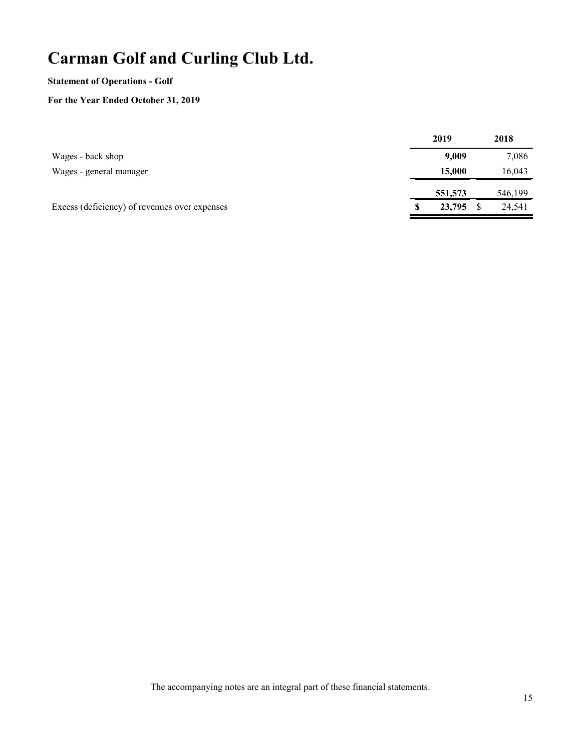### **Statement of Operations - Golf**

## **For the Year Ended October 31, 2019**

|                                               | 2019    | 2018    |
|-----------------------------------------------|---------|---------|
| Wages - back shop                             | 9,009   | 7,086   |
| Wages - general manager                       | 15,000  | 16,043  |
|                                               | 551,573 | 546,199 |
| Excess (deficiency) of revenues over expenses | 23,795  | 24,541  |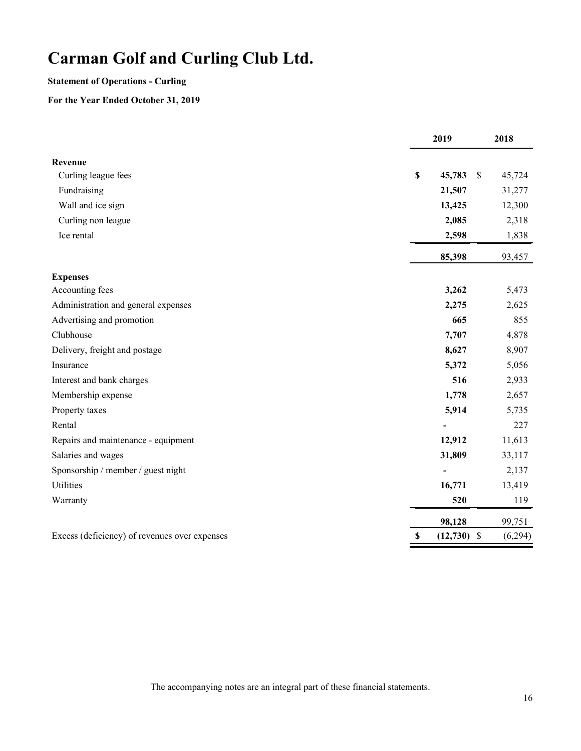## **Statement of Operations - Curling**

## **For the Year Ended October 31, 2019**

|                                               | 2019                | 2018                    |
|-----------------------------------------------|---------------------|-------------------------|
| Revenue                                       |                     |                         |
| Curling league fees                           | \$<br>45,783        | 45,724<br><sup>\$</sup> |
| Fundraising                                   | 21,507              | 31,277                  |
| Wall and ice sign                             | 13,425              | 12,300                  |
| Curling non league                            | 2,085               | 2,318                   |
| Ice rental                                    | 2,598               | 1,838                   |
|                                               | 85,398              | 93,457                  |
| <b>Expenses</b>                               |                     |                         |
| Accounting fees                               | 3,262               | 5,473                   |
| Administration and general expenses           | 2,275               | 2,625                   |
| Advertising and promotion                     | 665                 | 855                     |
| Clubhouse                                     | 7,707               | 4,878                   |
| Delivery, freight and postage                 | 8,627               | 8,907                   |
| Insurance                                     | 5,372               | 5,056                   |
| Interest and bank charges                     | 516                 | 2,933                   |
| Membership expense                            | 1,778               | 2,657                   |
| Property taxes                                | 5,914               | 5,735                   |
| Rental                                        |                     | 227                     |
| Repairs and maintenance - equipment           | 12,912              | 11,613                  |
| Salaries and wages                            | 31,809              | 33,117                  |
| Sponsorship / member / guest night            |                     | 2,137                   |
| <b>Utilities</b>                              | 16,771              | 13,419                  |
| Warranty                                      | 520                 | 119                     |
|                                               | 98,128              | 99,751                  |
| Excess (deficiency) of revenues over expenses | $(12,730)$ \$<br>\$ | (6,294)                 |